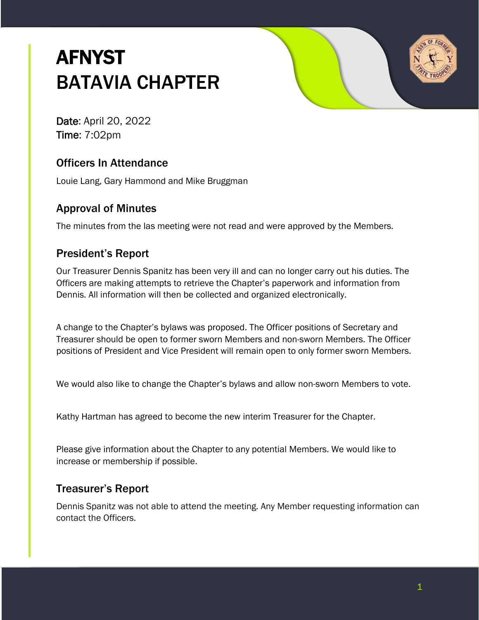# **AFNYST** BATAVIA CHAPTER



Date: April 20, 2022 Time: 7:02pm

# Officers In Attendance

Louie Lang, Gary Hammond and Mike Bruggman

#### Approval of Minutes

The minutes from the las meeting were not read and were approved by the Members.

# President's Report

Our Treasurer Dennis Spanitz has been very ill and can no longer carry out his duties. The Officers are making attempts to retrieve the Chapter's paperwork and information from Dennis. All information will then be collected and organized electronically.

A change to the Chapter's bylaws was proposed. The Officer positions of Secretary and Treasurer should be open to former sworn Members and non-sworn Members. The Officer positions of President and Vice President will remain open to only former sworn Members.

We would also like to change the Chapter's bylaws and allow non-sworn Members to vote.

Kathy Hartman has agreed to become the new interim Treasurer for the Chapter.

Please give information about the Chapter to any potential Members. We would like to increase or membership if possible.

# Treasurer's Report

Dennis Spanitz was not able to attend the meeting. Any Member requesting information can contact the Officers.